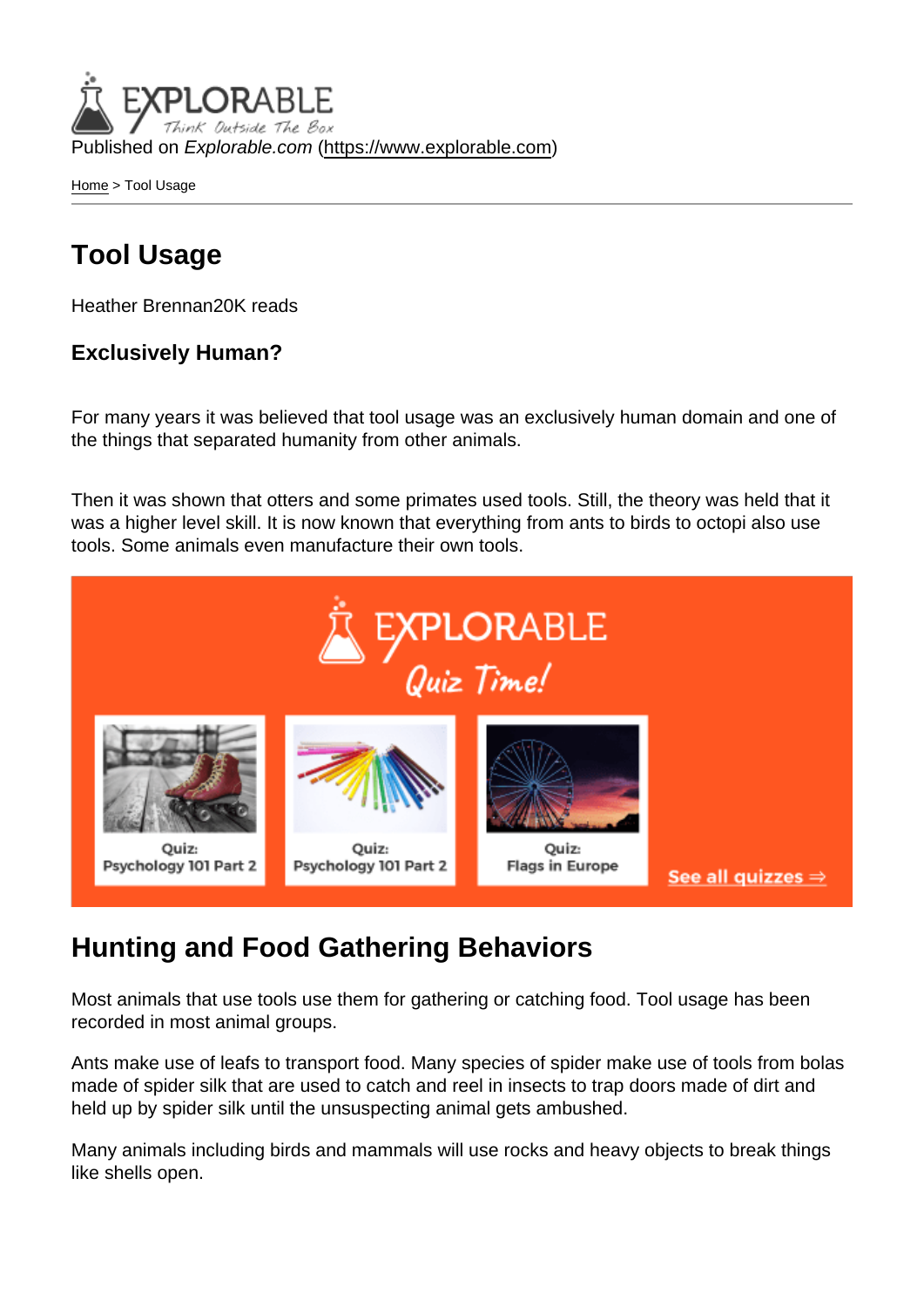Published on Explorable.com (<https://www.explorable.com>)

[Home](https://www.explorable.com/) > Tool Usage

# Tool Usage

Heather Brennan20K reads

Exclusively Human?

For many years it was believed that tool usage was an exclusively human domain and one of the things that separated humanity from other animals.

Then it was shown that otters and some primates used tools. Still, the theory was held that it was a higher level skill. It is now known that everything from ants to birds to octopi also use tools. Some animals even manufacture their own tools.

## Hunting and Food Gathering Behaviors

Most animals that use tools use them for gathering or catching food. Tool usage has been recorded in most animal groups.

Ants make use of leafs to transport food. Many species of spider make use of tools from bolas made of spider silk that are used to catch and reel in insects to trap doors made of dirt and held up by spider silk until the unsuspecting animal gets ambushed.

Many animals including birds and mammals will use rocks and heavy objects to break things like shells open.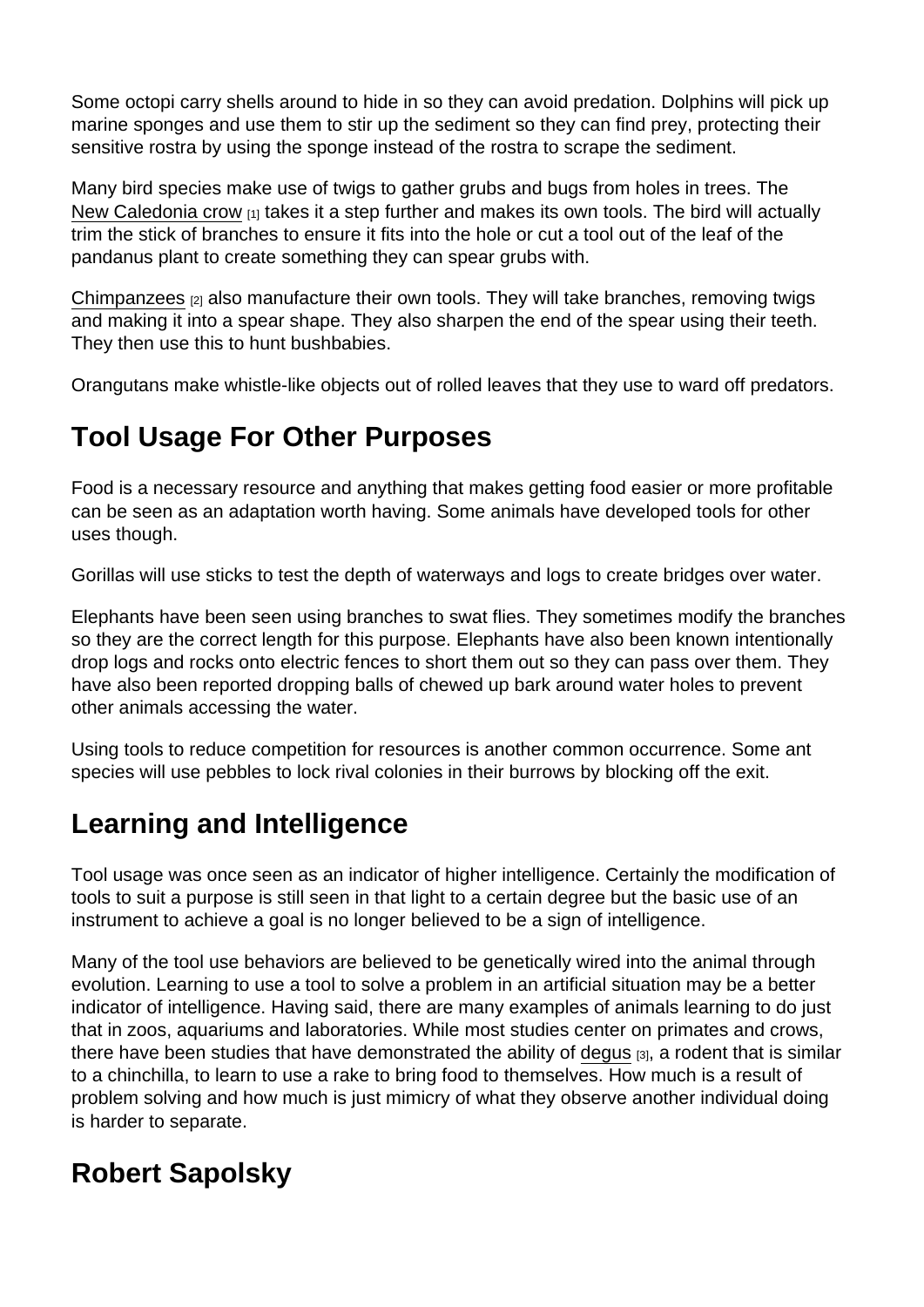Some octopi carry shells around to hide in so they can avoid predation. Dolphins will pick up marine sponges and use them to stir up the sediment so they can find prey, protecting their sensitive rostra by using the sponge instead of the rostra to scrape the sediment.

Many bird species make use of twigs to gather grubs and bugs from holes in trees. The [New Caledonia crow](http://news.nationalgeographic.com/news/2003/04/0423_030423_crowtools_2.html) [1] takes it a step further and makes its own tools. The bird will actually trim the stick of branches to ensure it fits into the hole or cut a tool out of the leaf of the pandanus plant to create something they can spear grubs with.

[Chimpanzees](http://www.livescience.com/4395-chimps-spears-hunt-bushbabies.html) [2] also manufacture their own tools. They will take branches, removing twigs and making it into a spear shape. They also sharpen the end of the spear using their teeth. They then use this to hunt bushbabies.

Orangutans make whistle-like objects out of rolled leaves that they use to ward off predators.

# Tool Usage For Other Purposes

Food is a necessary resource and anything that makes getting food easier or more profitable can be seen as an adaptation worth having. Some animals have developed tools for other uses though.

Gorillas will use sticks to test the depth of waterways and logs to create bridges over water.

Elephants have been seen using branches to swat flies. They sometimes modify the branches so they are the correct length for this purpose. Elephants have also been known intentionally drop logs and rocks onto electric fences to short them out so they can pass over them. They have also been reported dropping balls of chewed up bark around water holes to prevent other animals accessing the water.

Using tools to reduce competition for resources is another common occurrence. Some ant species will use pebbles to lock rival colonies in their burrows by blocking off the exit.

## Learning and Intelligence

Tool usage was once seen as an indicator of higher intelligence. Certainly the modification of tools to suit a purpose is still seen in that light to a certain degree but the basic use of an instrument to achieve a goal is no longer believed to be a sign of intelligence.

Many of the tool use behaviors are believed to be genetically wired into the animal through evolution. Learning to use a tool to solve a problem in an artificial situation may be a better indicator of intelligence. Having said, there are many examples of animals learning to do just that in zoos, aquariums and laboratories. While most studies center on primates and crows, there have been studies that have demonstrated the ability of [degus](http://www.livescience.com/2408-small-rodents-taught-tools.html) [3], a rodent that is similar to a chinchilla, to learn to use a rake to bring food to themselves. How much is a result of problem solving and how much is just mimicry of what they observe another individual doing is harder to separate.

## Robert Sapolsky